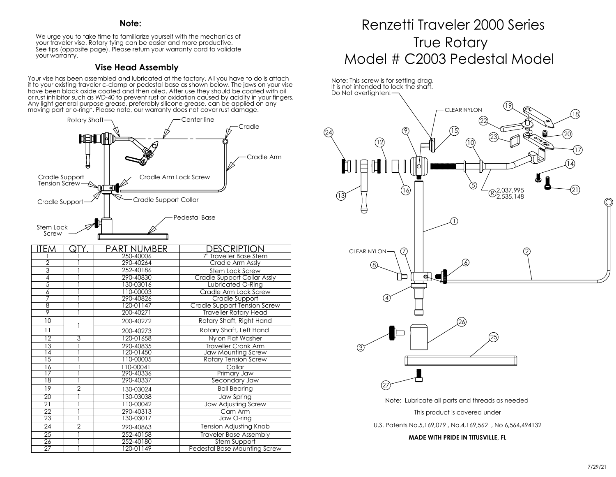#### **Note:**

We urge you to take time to familiarize yourself with the mechanics of your traveler vise. Rotary tying can be easier and more productive. See tips (opposite page). Please return your warranty card to validate your warranty.

### **Vise Head Assembly**

Your vise has been assembled and lubricated at the factory. All you have to do is attach it to your existing traveler c-clamp or pedestal base as shown below. The jaws on your vise have been black oxide coated and then oiled. After use they should be coated with oil or rust inhibitor such as WD-40 to prevent rust or oxidation caused by acidity in your fingers. Any light general purpose grease, preferably silicone grease, can be applied on any moving part or o-ring\*. Please note, our warranty does not cover rust damage.



| IIEM            | Q              | PART NUMBER | DESCRIPTION                   |
|-----------------|----------------|-------------|-------------------------------|
|                 |                | 250-40006   | 7" Traveller Base Stem        |
| $\overline{2}$  |                | 290-40264   | Cradle Arm Assly              |
| 3               |                | 252-40186   | Stem Lock Screw               |
| 4               |                | 290-40830   | Cradle Support Collar Assly   |
| $\overline{5}$  |                | 130-03016   | Lubricated O-Ring             |
| 6               |                | 110-00003   | Cradle Arm Lock Screw         |
|                 |                | 290-40826   | Cradle Support                |
| $\overline{8}$  |                | 120-01147   | Cradle Support Tension Screw  |
| $\overline{9}$  |                | 200-40271   | <b>Traveller Rotary Head</b>  |
| 10              |                | 200-40272   | Rotary Shaft, Right Hand      |
| $\overline{11}$ |                | 200-40273   | Rotary Shaft, Left Hand       |
| $\overline{12}$ | 3              | 120-01658   | Nylon Flat Washer             |
| 13              |                | 290-40835   | <b>Traveller Crank Arm</b>    |
| $\overline{14}$ |                | 120-01450   | Jaw Mounting Screw            |
| $\overline{15}$ |                | 110-00005   | <b>Rotary Tension Screw</b>   |
| 16              |                | 110-00041   | Collar                        |
| $\overline{17}$ |                | 290-40336   | Primary Jaw                   |
| $\overline{18}$ |                | 290-40337   | Secondary Jaw                 |
| 19              | $\overline{2}$ | 130-03024   | <b>Ball Bearing</b>           |
| $\overline{20}$ |                | 30-03038    | Jaw Spring                    |
| $\overline{21}$ |                | 110-00042   | <b>Jaw Adjusting Screw</b>    |
| 22              |                | 290-40313   | Cam Arm                       |
| $\overline{23}$ |                | 130-03017   | Jaw O-ring                    |
| 24              | $\overline{2}$ | 290-40863   | Tension Adjusting Knob        |
| $\overline{25}$ |                | 252-40158   | <b>Traveler Base Assembly</b> |
| $\overline{26}$ |                | 252-40180   | Stem Support                  |
| $\overline{27}$ |                | 120-01149   | Pedestal Base Mounting Screw  |

# True Rotary Model # C2003 Pedestal Model Renzetti Traveler 2000 Series